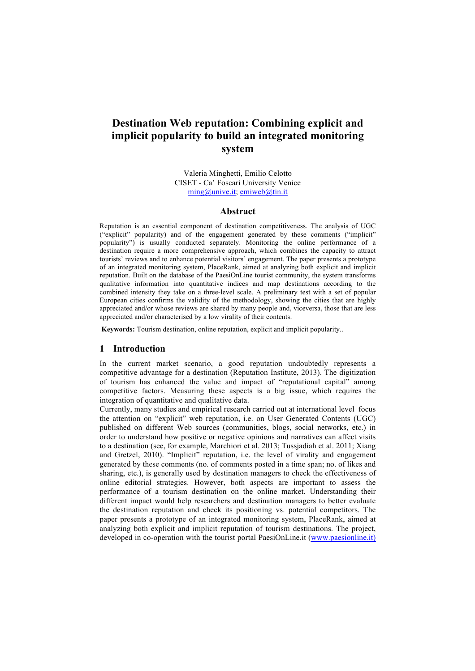# **Destination Web reputation: Combining explicit and implicit popularity to build an integrated monitoring system**

Valeria Minghetti, Emilio Celotto CISET - Ca' Foscari University Venice  $\text{ming}(\omega$ unive.it; emiweb $\omega$ tin.it

#### **Abstract**

Reputation is an essential component of destination competitiveness. The analysis of UGC ("explicit" popularity) and of the engagement generated by these comments ("implicit" popularity") is usually conducted separately. Monitoring the online performance of a destination require a more comprehensive approach, which combines the capacity to attract tourists' reviews and to enhance potential visitors' engagement. The paper presents a prototype of an integrated monitoring system, PlaceRank, aimed at analyzing both explicit and implicit reputation. Built on the database of the PaesiOnLine tourist community, the system transforms qualitative information into quantitative indices and map destinations according to the combined intensity they take on a three-level scale. A preliminary test with a set of popular European cities confirms the validity of the methodology, showing the cities that are highly appreciated and/or whose reviews are shared by many people and, viceversa, those that are less appreciated and/or characterised by a low virality of their contents.

**Keywords:** Tourism destination, online reputation, explicit and implicit popularity..

### **1 Introduction**

In the current market scenario, a good reputation undoubtedly represents a competitive advantage for a destination (Reputation Institute, 2013). The digitization of tourism has enhanced the value and impact of "reputational capital" among competitive factors. Measuring these aspects is a big issue, which requires the integration of quantitative and qualitative data.

Currently, many studies and empirical research carried out at international level focus the attention on "explicit" web reputation, i.e. on User Generated Contents (UGC) published on different Web sources (communities, blogs, social networks, etc.) in order to understand how positive or negative opinions and narratives can affect visits to a destination (see, for example, Marchiori et al. 2013; Tussjadiah et al. 2011; Xiang and Gretzel, 2010). "Implicit" reputation, i.e. the level of virality and engagement generated by these comments (no. of comments posted in a time span; no. of likes and sharing, etc.), is generally used by destination managers to check the effectiveness of online editorial strategies. However, both aspects are important to assess the performance of a tourism destination on the online market. Understanding their different impact would help researchers and destination managers to better evaluate the destination reputation and check its positioning vs. potential competitors. The paper presents a prototype of an integrated monitoring system, PlaceRank, aimed at analyzing both explicit and implicit reputation of tourism destinations. The project, developed in co-operation with the tourist portal PaesiOnLine.it (www.paesionline.it)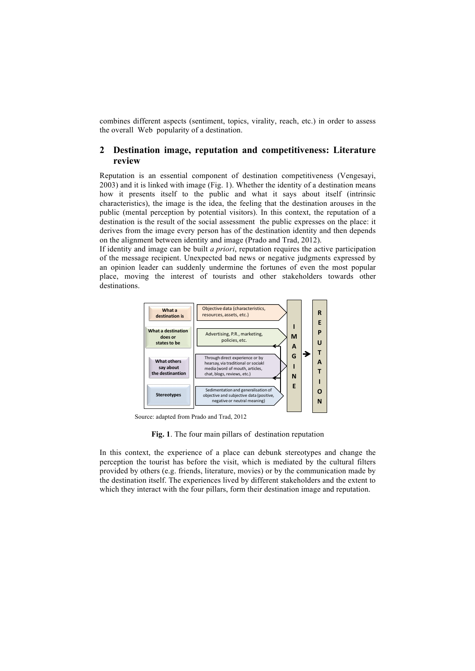combines different aspects (sentiment, topics, virality, reach, etc.) in order to assess the overall Web popularity of a destination.

# **2 Destination image, reputation and competitiveness: Literature review**

Reputation is an essential component of destination competitiveness (Vengesayi, 2003) and it is linked with image (Fig. 1). Whether the identity of a destination means how it presents itself to the public and what it says about itself (intrinsic characteristics), the image is the idea, the feeling that the destination arouses in the public (mental perception by potential visitors). In this context, the reputation of a destination is the result of the social assessment the public expresses on the place: it derives from the image every person has of the destination identity and then depends on the alignment between identity and image (Prado and Trad, 2012).

If identity and image can be built *a priori*, reputation requires the active participation of the message recipient. Unexpected bad news or negative judgments expressed by an opinion leader can suddenly undermine the fortunes of even the most popular place, moving the interest of tourists and other stakeholders towards other destinations.



Source: adapted from Prado and Trad, 2012

**Fig. 1**. The four main pillars of destination reputation

In this context, the experience of a place can debunk stereotypes and change the perception the tourist has before the visit, which is mediated by the cultural filters provided by others (e.g. friends, literature, movies) or by the communication made by the destination itself. The experiences lived by different stakeholders and the extent to which they interact with the four pillars, form their destination image and reputation.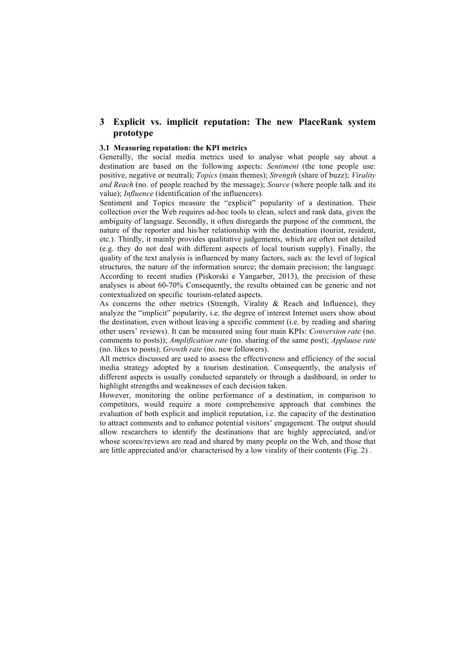# **3 Explicit vs. implicit reputation: The new PlaceRank system prototype**

## **3.1 Measuring reputation: the KPI metrics**

Generally, the social media metrics used to analyse what people say about a destination are based on the following aspects: *Sentiment* (the tone people use: positive, negative or neutral); *Topics* (main themes); *Strength* (share of buzz); *Virality and Reach* (no. of people reached by the message); *Source* (where people talk and its value); *Influence* (identification of the influencers).

Sentiment and Topics measure the "explicit" popularity of a destination. Their collection over the Web requires ad-hoc tools to clean, select and rank data, given the ambiguity of language. Secondly, it often disregards the purpose of the comment, the nature of the reporter and his/her relationship with the destination (tourist, resident, etc.). Thirdly, it mainly provides qualitative judgements, which are often not detailed (e.g. they do not deal with different aspects of local tourism supply). Finally, the quality of the text analysis is influenced by many factors, such as: the level of logical structures, the nature of the information source; the domain precision; the language. According to recent studies (Piskorski e Yangarber, 2013), the precision of these analyses is about 60-70% Consequently, the results obtained can be generic and not contextualized on specific tourism-related aspects.

As concerns the other metrics (Strength, Virality & Reach and Influence), they analyze the "implicit" popularity, i.e. the degree of interest Internet users show about the destination, even without leaving a specific comment (i.e. by reading and sharing other users' reviews). It can be measured using four main KPIs: *Conversion rate* (no. comments to posts)); *Amplification rate* (no. sharing of the same post); *Applause rate* (no. likes to posts); *Growth rate* (no. new followers).

All metrics discussed are used to assess the effectiveness and efficiency of the social media strategy adopted by a tourism destination. Consequently, the analysis of different aspects is usually conducted separately or through a dashboard, in order to highlight strengths and weaknesses of each decision taken.

However, monitoring the online performance of a destination, in comparison to competitors, would require a more comprehensive approach that combines the evaluation of both explicit and implicit reputation, i.e. the capacity of the destination to attract comments and to enhance potential visitors' engagement. The output should allow researchers to identify the destinations that are highly appreciated, and/or whose scores/reviews are read and shared by many people on the Web, and those that are little appreciated and/or characterised by a low virality of their contents (Fig. 2) .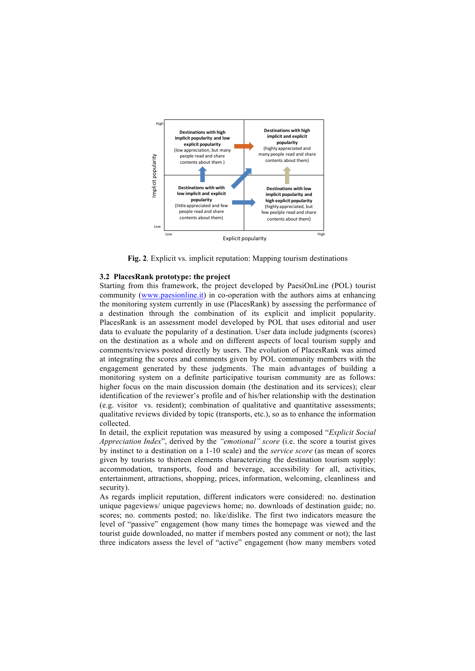

**Fig. 2**. Explicit vs. implicit reputation: Mapping tourism destinations

### **3.2 PlacesRank prototype: the project**

Starting from this framework, the project developed by PaesiOnLine (POL) tourist community (www.paesionline.it) in co-operation with the authors aims at enhancing the monitoring system currently in use (PlacesRank) by assessing the performance of a destination through the combination of its explicit and implicit popularity. PlacesRank is an assessment model developed by POL that uses editorial and user data to evaluate the popularity of a destination. User data include judgments (scores) on the destination as a whole and on different aspects of local tourism supply and comments/reviews posted directly by users. The evolution of PlacesRank was aimed at integrating the scores and comments given by POL community members with the engagement generated by these judgments. The main advantages of building a monitoring system on a definite participative tourism community are as follows: higher focus on the main discussion domain (the destination and its services); clear identification of the reviewer's profile and of his/her relationship with the destination (e.g. visitor vs. resident); combination of qualitative and quantitative assessments; qualitative reviews divided by topic (transports, etc.), so as to enhance the information collected. For the indication of the residue of the method of the property and the property of the method of the method of the species as a method of the property of the property of the property of the property of the property of th

In detail, the explicit reputation was measured by using a composed "*Explicit Social Appreciation Index*", derived by the *"emotional" score* (i.e. the score a tourist gives by instinct to a destination on a 1-10 scale) and the *service score* (as mean of scores given by tourists to thirteen elements characterizing the destination tourism supply: accommodation, transports, food and beverage, accessibility for all, activities, entertainment, attractions, shopping, prices, information, welcoming, cleanliness and security).

As regards implicit reputation, different indicators were considered: no. destination unique pageviews/ unique pageviews home; no. downloads of destination guide; no. scores; no. comments posted; no. like/dislike. The first two indicators measure the level of "passive" engagement (how many times the homepage was viewed and the tourist guide downloaded, no matter if members posted any comment or not); the last